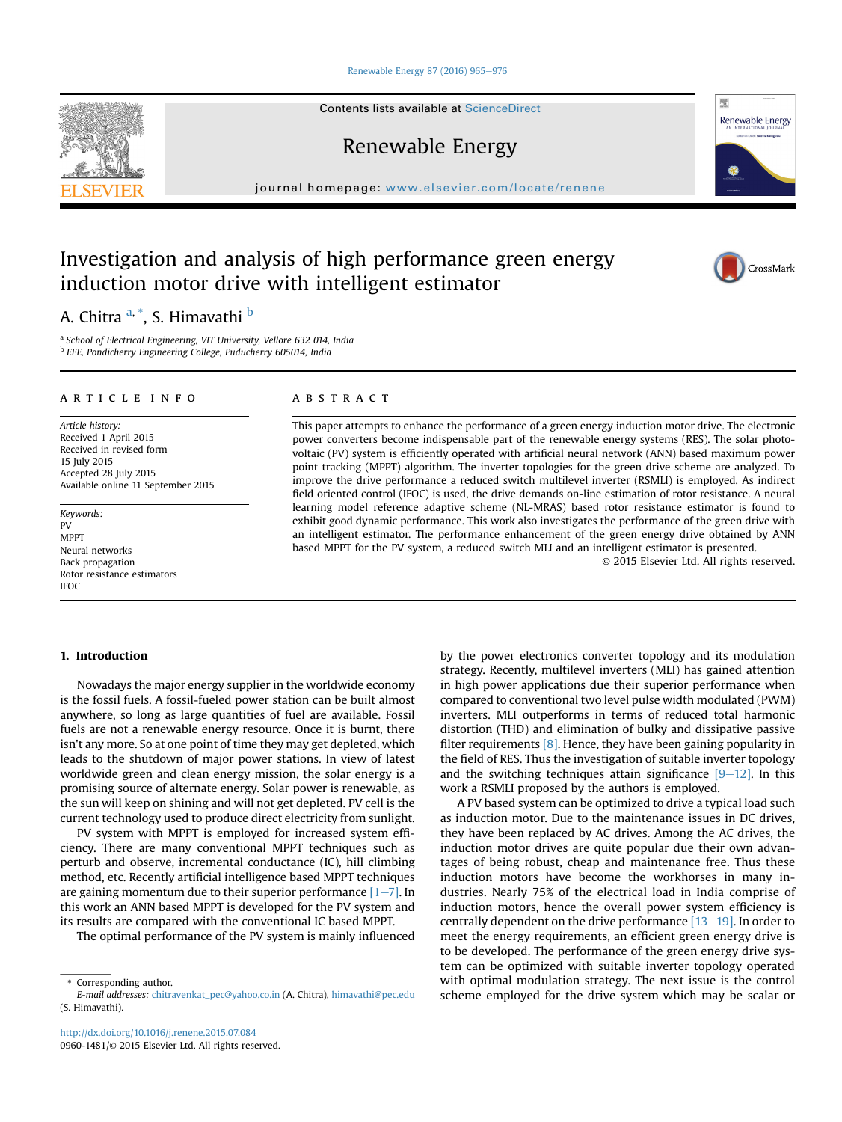#### [Renewable Energy 87 \(2016\) 965](http://dx.doi.org/10.1016/j.renene.2015.07.084)-[976](http://dx.doi.org/10.1016/j.renene.2015.07.084)

Contents lists available at ScienceDirect

Renewable Energy

journal homepage: [www.elsevier.com/locate/renene](http://www.elsevier.com/locate/renene)

## Investigation and analysis of high performance green energy induction motor drive with intelligent estimator

### A. Chitra <sup>a, \*</sup>, S. Himavathi <sup>b</sup>

<sup>a</sup> School of Electrical Engineering, VIT University, Vellore 632 014, India <sup>b</sup> EEE, Pondicherry Engineering College, Puducherry 605014, India

#### article info

Article history: Received 1 April 2015 Received in revised form 15 July 2015 Accepted 28 July 2015 Available online 11 September 2015

Keywords: PV MPPT Neural networks Back propagation Rotor resistance estimators IFOC

#### ABSTRACT

This paper attempts to enhance the performance of a green energy induction motor drive. The electronic power converters become indispensable part of the renewable energy systems (RES). The solar photovoltaic (PV) system is efficiently operated with artificial neural network (ANN) based maximum power point tracking (MPPT) algorithm. The inverter topologies for the green drive scheme are analyzed. To improve the drive performance a reduced switch multilevel inverter (RSMLI) is employed. As indirect field oriented control (IFOC) is used, the drive demands on-line estimation of rotor resistance. A neural learning model reference adaptive scheme (NL-MRAS) based rotor resistance estimator is found to exhibit good dynamic performance. This work also investigates the performance of the green drive with an intelligent estimator. The performance enhancement of the green energy drive obtained by ANN based MPPT for the PV system, a reduced switch MLI and an intelligent estimator is presented.

© 2015 Elsevier Ltd. All rights reserved.

#### 1. Introduction

Nowadays the major energy supplier in the worldwide economy is the fossil fuels. A fossil-fueled power station can be built almost anywhere, so long as large quantities of fuel are available. Fossil fuels are not a renewable energy resource. Once it is burnt, there isn't any more. So at one point of time they may get depleted, which leads to the shutdown of major power stations. In view of latest worldwide green and clean energy mission, the solar energy is a promising source of alternate energy. Solar power is renewable, as the sun will keep on shining and will not get depleted. PV cell is the current technology used to produce direct electricity from sunlight.

PV system with MPPT is employed for increased system efficiency. There are many conventional MPPT techniques such as perturb and observe, incremental conductance (IC), hill climbing method, etc. Recently artificial intelligence based MPPT techniques are gaining momentum due to their superior performance  $[1-7]$ . In this work an ANN based MPPT is developed for the PV system and its results are compared with the conventional IC based MPPT.

The optimal performance of the PV system is mainly influenced

strategy. Recently, multilevel inverters (MLI) has gained attention in high power applications due their superior performance when compared to conventional two level pulse width modulated (PWM) inverters. MLI outperforms in terms of reduced total harmonic distortion (THD) and elimination of bulky and dissipative passive filter requirements  $[8]$ . Hence, they have been gaining popularity in the field of RES. Thus the investigation of suitable inverter topology and the switching techniques attain significance  $[9-12]$ . In this work a RSMLI proposed by the authors is employed. A PV based system can be optimized to drive a typical load such as induction motor. Due to the maintenance issues in DC drives,

by the power electronics converter topology and its modulation

they have been replaced by AC drives. Among the AC drives, the induction motor drives are quite popular due their own advantages of being robust, cheap and maintenance free. Thus these induction motors have become the workhorses in many industries. Nearly 75% of the electrical load in India comprise of induction motors, hence the overall power system efficiency is centrally dependent on the drive performance  $[13-19]$ . In order to meet the energy requirements, an efficient green energy drive is to be developed. The performance of the green energy drive system can be optimized with suitable inverter topology operated with optimal modulation strategy. The next issue is the control scheme employed for the drive system which may be scalar or





壓 Renewable Energy

Corresponding author. E-mail addresses: [chitravenkat\\_pec@yahoo.co.in](mailto:chitravenkat_pec@yahoo.co.in) (A. Chitra), [himavathi@pec.edu](mailto:himavathi@pec.edu) (S. Himavathi).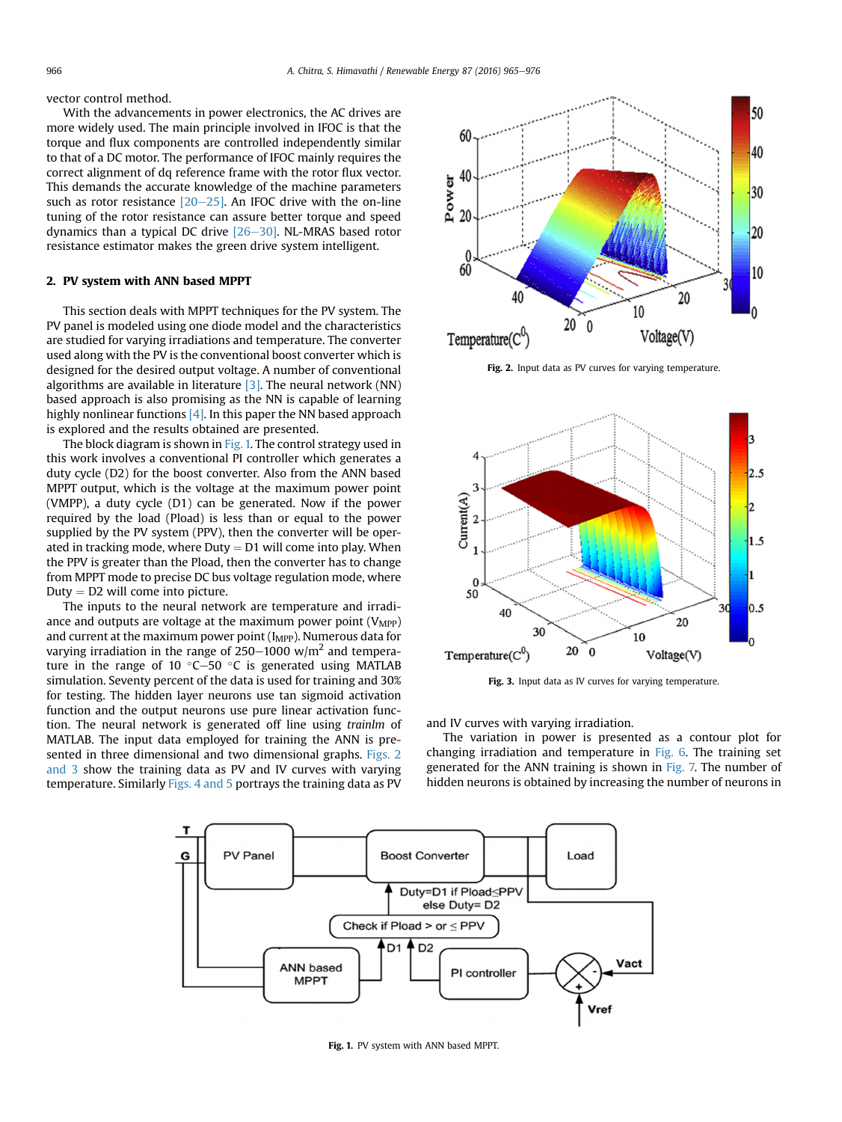vector control method.

With the advancements in power electronics, the AC drives are more widely used. The main principle involved in IFOC is that the torque and flux components are controlled independently similar to that of a DC motor. The performance of IFOC mainly requires the correct alignment of dq reference frame with the rotor flux vector. This demands the accurate knowledge of the machine parameters such as rotor resistance  $[20-25]$ . An IFOC drive with the on-line tuning of the rotor resistance can assure better torque and speed dynamics than a typical DC drive  $[26-30]$ . NL-MRAS based rotor resistance estimator makes the green drive system intelligent.

#### 2. PV system with ANN based MPPT

This section deals with MPPT techniques for the PV system. The PV panel is modeled using one diode model and the characteristics are studied for varying irradiations and temperature. The converter used along with the PV is the conventional boost converter which is designed for the desired output voltage. A number of conventional algorithms are available in literature  $[3]$ . The neural network (NN) based approach is also promising as the NN is capable of learning highly nonlinear functions  $[4]$ . In this paper the NN based approach is explored and the results obtained are presented.

The block diagram is shown in Fig. 1. The control strategy used in this work involves a conventional PI controller which generates a duty cycle (D2) for the boost converter. Also from the ANN based MPPT output, which is the voltage at the maximum power point (VMPP), a duty cycle (D1) can be generated. Now if the power required by the load (Pload) is less than or equal to the power supplied by the PV system (PPV), then the converter will be operated in tracking mode, where  $Duty = D1$  will come into play. When the PPV is greater than the Pload, then the converter has to change from MPPT mode to precise DC bus voltage regulation mode, where Duty  $=$  D2 will come into picture.

The inputs to the neural network are temperature and irradiance and outputs are voltage at the maximum power point  $(V_{MPP})$ and current at the maximum power point  $(I_{\text{MPP}})$ . Numerous data for varying irradiation in the range of  $250-1000$  w/m<sup>2</sup> and temperature in the range of 10  $^{\circ}$ C $-50$   $^{\circ}$ C is generated using MATLAB simulation. Seventy percent of the data is used for training and 30% for testing. The hidden layer neurons use tan sigmoid activation function and the output neurons use pure linear activation function. The neural network is generated off line using trainlm of MATLAB. The input data employed for training the ANN is presented in three dimensional and two dimensional graphs. Figs. 2 and 3 show the training data as PV and IV curves with varying temperature. Similarly Figs. 4 and 5 portrays the training data as PV



Fig. 2. Input data as PV curves for varying temperature.



Fig. 3. Input data as IV curves for varying temperature.

and IV curves with varying irradiation.

The variation in power is presented as a contour plot for changing irradiation and temperature in Fig. 6. The training set generated for the ANN training is shown in Fig. 7. The number of hidden neurons is obtained by increasing the number of neurons in



Fig. 1. PV system with ANN based MPPT.